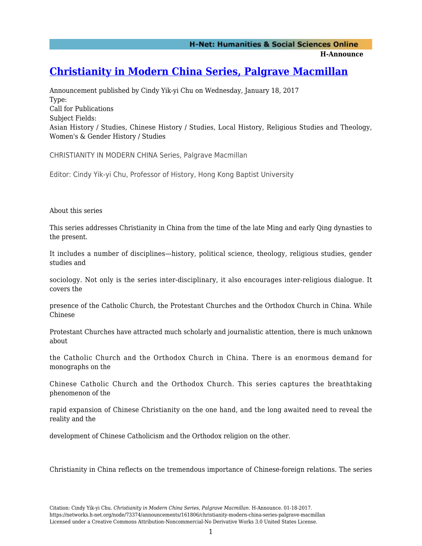**H-Announce** 

## **[Christianity in Modern China Series, Palgrave Macmillan](https://networks.h-net.org/node/73374/announcements/161806/christianity-modern-china-series-palgrave-macmillan)**

Announcement published by Cindy Yik-yi Chu on Wednesday, January 18, 2017 Type: Call for Publications Subject Fields: Asian History / Studies, Chinese History / Studies, Local History, Religious Studies and Theology, Women's & Gender History / Studies

CHRISTIANITY IN MODERN CHINA Series, Palgrave Macmillan

Editor: Cindy Yik-yi Chu, Professor of History, Hong Kong Baptist University

About this series

This series addresses Christianity in China from the time of the late Ming and early Qing dynasties to the present.

It includes a number of disciplines—history, political science, theology, religious studies, gender studies and

sociology. Not only is the series inter-disciplinary, it also encourages inter-religious dialogue. It covers the

presence of the Catholic Church, the Protestant Churches and the Orthodox Church in China. While Chinese

Protestant Churches have attracted much scholarly and journalistic attention, there is much unknown about

the Catholic Church and the Orthodox Church in China. There is an enormous demand for monographs on the

Chinese Catholic Church and the Orthodox Church. This series captures the breathtaking phenomenon of the

rapid expansion of Chinese Christianity on the one hand, and the long awaited need to reveal the reality and the

development of Chinese Catholicism and the Orthodox religion on the other.

Christianity in China reflects on the tremendous importance of Chinese-foreign relations. The series